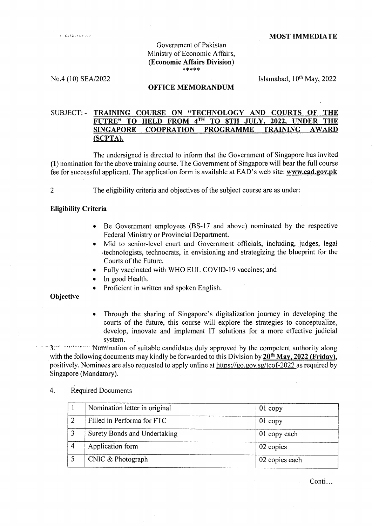#### Government of Pakistan Ministry of Economic Affairs, (Economic Affairs Division) \*\*\*\*\*

No.4 (10) SEA/2022 Islamabad, 10<sup>th</sup> May, 2022

#### OFFICE MEMORANDUM

# SUBJECT: - TRAINING COURSE ON "TECHNOLOGY AND COURTS OF THE FUTRE" TO HELD FROM 4<sup>TH</sup> TO 8TH JULY, 2022, UNDER THE FUTRE" TO HELD FROM  $4<sup>TH</sup>$  TO 8TH JULY, SINGAPORE COOPRATION PROGRAMME TRAINING AWARI) (SCPTA).

The undersigned is directed to inform that the Government of Singapore has invited  $(1)$  nomination for the above training course. The Government of Singapore will bear the full course fee for successful applicant. The application form is available at EAD's web site: www.ead.gov.pk

2

The eligibility criteria and objectives of the subject course are as under:

# Eligibility Criteria

- Be Government employees (BS-17 and above) nominated by the respective Federal Ministry or Provincial Department.
- Mid to senior-level court and Government officials, including, judges, legal technologists, technocrats, in envisioning and strategizing the blueprint for the Courts of the Future.
- Fully vaccinated with WHO EUL COVID-19 vaccines; and
- In good Health.
- Proficient in written and spoken English.

**Objective** 

Through the sharing of Singapore's digitalization journey in developing the courts of the future, this course will explore the strategies to conceptualize, develop, innovate and implement IT solutions for a more effective judicial

system.<br>' <sup>-</sup> internation of suitable candidates duly approved by the competent authority along<br> with the following documents may kindly be forwarded to this Division by  $20^{th}$  May,  $2022$  (Friday), positively. Nominees are also requested to apply online at https://go.gov.sg/tcof-2022 as required by Singapore (Mandatory).

### 4. Required Documents

|   | Nomination letter in original | $01$ copy      |
|---|-------------------------------|----------------|
|   | Filled in Performa for FTC    | $01$ copy      |
| э | Surety Bonds and Undertaking  | 01 copy each   |
|   | Application form              | 02 copies      |
|   | CNIC & Photograph             | 02 copies each |

Conti...